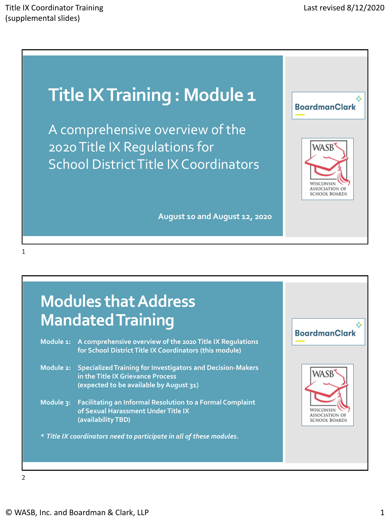# **Title IX Training : Module 1**

A comprehensive overview of the 2020 Title IX Regulations for School District Title IX Coordinators

**August 10 and August 12, 2020**



## **Modules that Address Mandated Training**

| Module 1: | A comprehensive overview of the 2020 Title IX Regulations<br>for School District Title IX Coordinators (this module)                              |
|-----------|---------------------------------------------------------------------------------------------------------------------------------------------------|
| Module 2: | <b>Specialized Training for Investigators and Decision-Makers</b><br>in the Title IX Grievance Process<br>(expected to be available by August 31) |
| Module 3: | <b>Facilitating an Informal Resolution to a Formal Complaint</b><br>of Sexual Harassment Under Title IX<br>(availability TBD)                     |
|           | * Title IX coordinators need to participate in all of these modules.                                                                              |

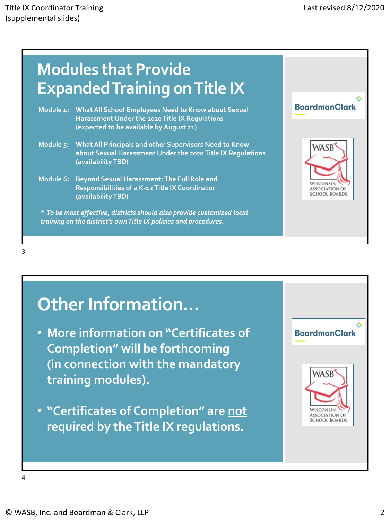

3

# **Other Information…**

- **More information on "Certificates of Completion" will be forthcoming (in connection with the mandatory training modules).**
- **"Certificates of Completion" are not required by the Title IX regulations.**

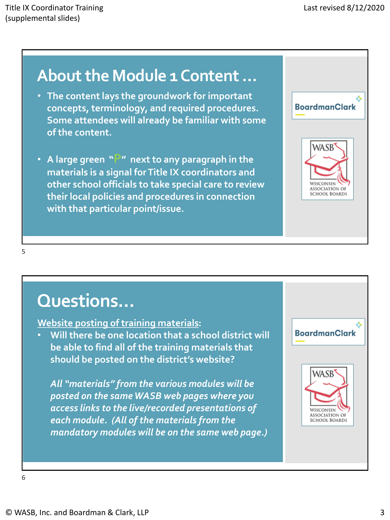## **About the Module 1 Content …**

- **The content lays the groundwork for important concepts, terminology, and required procedures. Some attendees will already be familiar with some of the content.**
- **A large green "P" next to any paragraph in the materials is a signal for Title IX coordinators and other school officials to take special care to review their local policies and procedures in connection with that particular point/issue.**

| <b>BoardmanClark</b>                                               |
|--------------------------------------------------------------------|
| WASB<br>WISCONSIN<br><b>ASSOCIATION OF</b><br><b>SCHOOL BOARDS</b> |
|                                                                    |

#### 5

# **Questions…**

### **Website posting of training materials:**

• **Will there be one location that a school district will be able to find all of the training materials that should be posted on the district's website?** 

*All "materials" from the various modules will be posted on the same WASB web pages where you access links to the live/recorded presentations of each module. (All of the materials from the mandatory modules will be on the same web page.)* 

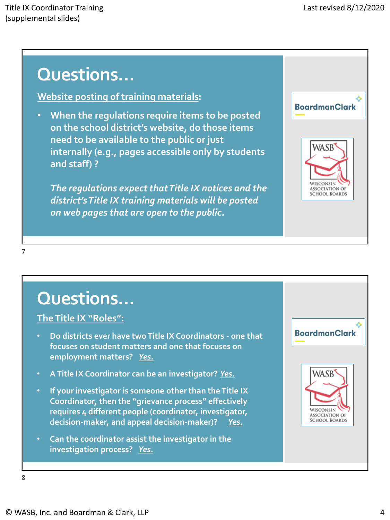**Website posting of training materials:** 

• **When the regulations require items to be posted on the school district's website, do those items need to be available to the public or just internally (e.g., pages accessible only by students and staff) ?** 

*The regulations expect that Title IX notices and the district's Title IX training materials will be posted on web pages that are open to the public.* 



7

# **Questions…**

### **The Title IX "Roles":**

- **Do districts ever have two Title IX Coordinators - one that focuses on student matters and one that focuses on employment matters?** *Yes.*
- **A Title IX Coordinator can be an investigator?** *Yes.*
- **If your investigator is someone other than the Title IX Coordinator, then the "grievance process" effectively requires 4 different people (coordinator, investigator, decision-maker, and appeal decision-maker)?** *Yes.*
- **Can the coordinator assist the investigator in the investigation process?** *Yes.*

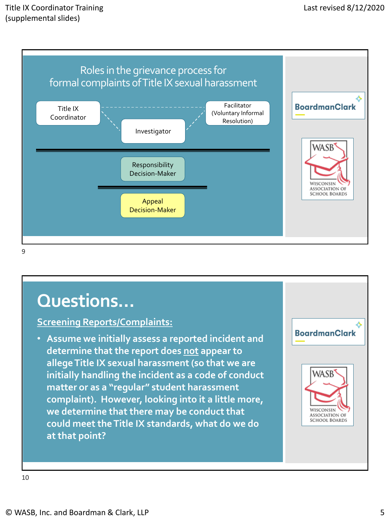

### **Screening Reports/Complaints:**

• **Assume we initially assess a reported incident and determine that the report does not appear to allege Title IX sexual harassment (so that we are initially handling the incident as a code of conduct matter or as a "regular" student harassment complaint). However, looking into it a little more, we determine that there may be conduct that could meet the Title IX standards, what do we do at that point?** 

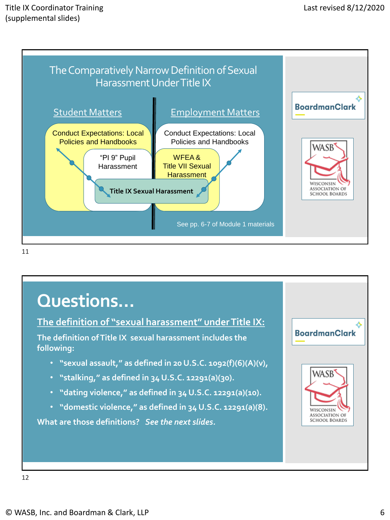

## **Questions… The definition of "sexual harassment" under Title IX: BoardmanClark The definition of Title IX sexual harassment includes the following:** • **"sexual assault," as defined in 20 U.S.C. 1092(f)(6)(A)(v),** WASB • **"stalking," as defined in 34 U.S.C. 12291(a)(30).**  • **"dating violence," as defined in 34 U.S.C. 12291(a)(10).** • **"domestic violence," as defined in 34 U.S.C. 12291(a)(8).** WISCONSIN **ASSOCIATION OF SCHOOL BOARDS What are those definitions?** *See the next slides.*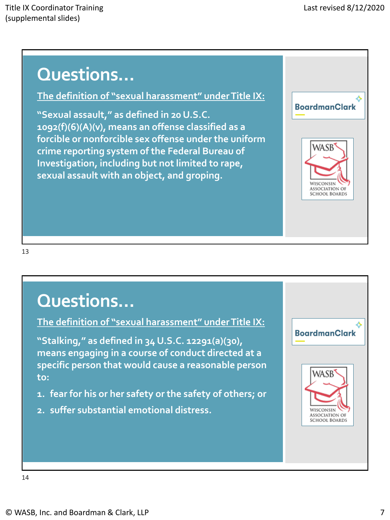**The definition of "sexual harassment" under Title IX:**

**"Sexual assault," as defined in 20 U.S.C. 1092(f)(6)(A)(v), means an offense classified as a forcible or nonforcible sex offense under the uniform crime reporting system of the Federal Bureau of Investigation, including but not limited to rape, sexual assault with an object, and groping.** 



#### 13

# **Questions…**

**The definition of "sexual harassment" under Title IX:**

**"Stalking," as defined in 34 U.S.C. 12291(a)(30), means engaging in a course of conduct directed at a specific person that would cause a reasonable person to:**

- **1. fear for his or her safety or the safety of others; or**
- **2. suffer substantial emotional distress.**

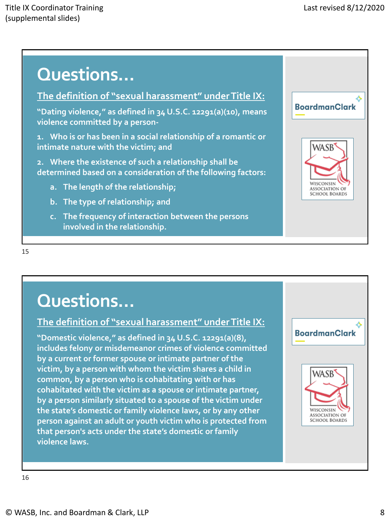### **The definition of "sexual harassment" under Title IX:**

**"Dating violence," as defined in 34 U.S.C. 12291(a)(10), means violence committed by a person-**

**1. Who is or has been in a social relationship of a romantic or intimate nature with the victim; and**

**2. Where the existence of such a relationship shall be determined based on a consideration of the following factors:**

- **a. The length of the relationship;**
- **b. The type of relationship; and**
- **c. The frequency of interaction between the persons involved in the relationship.**



#### 15

# **Questions…**

### **The definition of "sexual harassment" under Title IX:**

**"Domestic violence," as defined in 34 U.S.C. 12291(a)(8), includes felony or misdemeanor crimes of violence committed by a current or former spouse or intimate partner of the victim, by a person with whom the victim shares a child in common, by a person who is cohabitating with or has cohabitated with the victim as a spouse or intimate partner, by a person similarly situated to a spouse of the victim under the state's domestic or family violence laws, or by any other person against an adult or youth victim who is protected from that person's acts under the state's domestic or family violence laws.** 

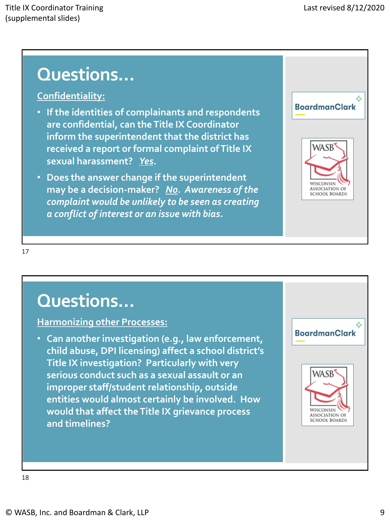### **Confidentiality:**

- **If the identities of complainants and respondents are confidential, can the Title IX Coordinator inform the superintendent that the district has received a report or formal complaint of Title IX sexual harassment?** *Yes***.**
- **Does the answer change if the superintendent may be a decision-maker?** *No. Awareness of the complaint would be unlikely to be seen as creating a conflict of interest or an issue with bias.*



17

# **Questions…**

### **Harmonizing other Processes:**

• **Can another investigation (e.g., law enforcement, child abuse, DPI licensing) affect a school district's Title IX investigation? Particularly with very serious conduct such as a sexual assault or an improper staff/student relationship, outside entities would almost certainly be involved. How would that affect the Title IX grievance process and timelines?**